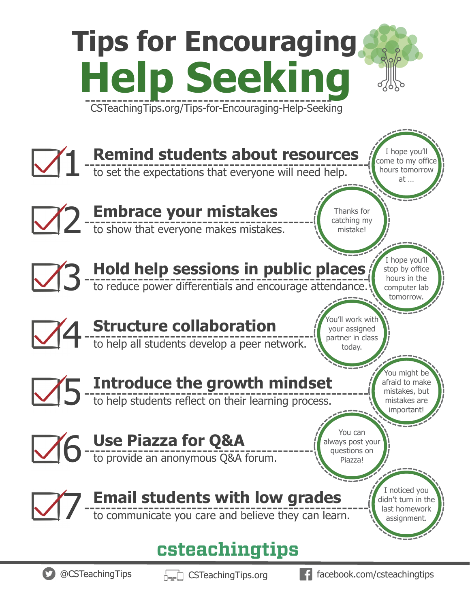